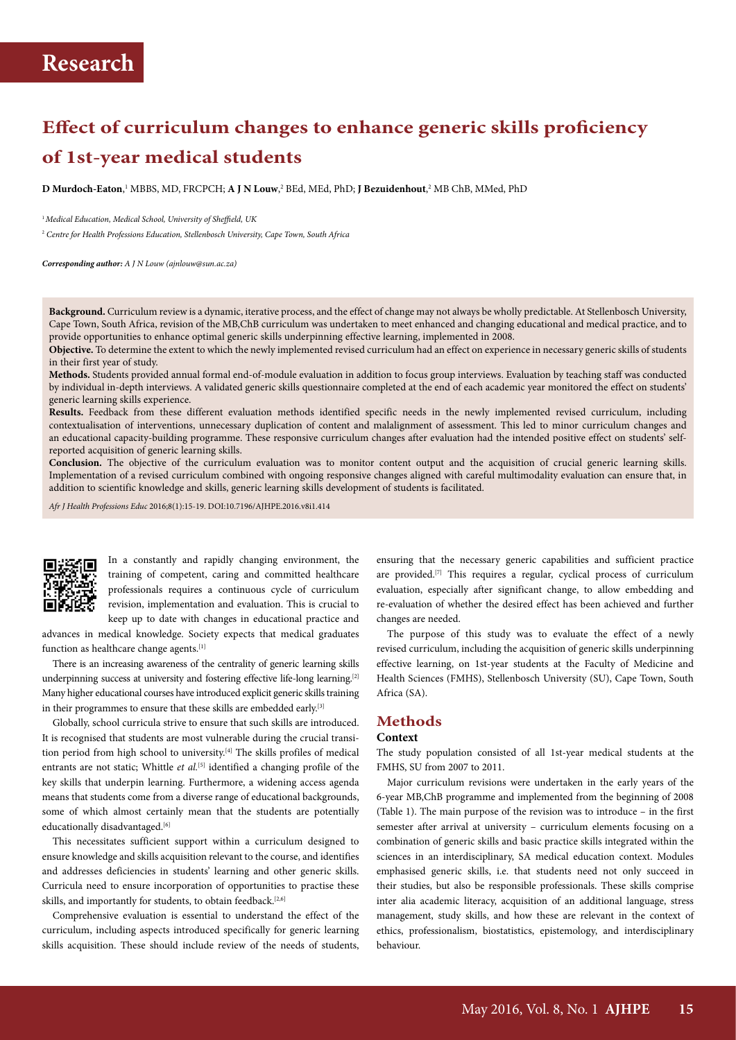# **Effect of curriculum changes to enhance generic skills proficiency of 1st-year medical students**

**D Murdoch-Eaton**, 1 MBBS, MD, FRCPCH; **A J N Louw**, 2 BEd, MEd, PhD; **J Bezuidenhout**, 2 MB ChB, MMed, PhD

<sup>1</sup>*Medical Education, Medical School, University of Sheffield, UK* 

<sup>2</sup> Centre for Health Professions Education, Stellenbosch University, Cape Town, South Africa

*Corresponding author: A J N Louw (ajnlouw@sun.ac.za)*

**Background.** Curriculum review is a dynamic, iterative process, and the effect of change may not always be wholly predictable. At Stellenbosch University, Cape Town, South Africa, revision of the MB,ChB curriculum was undertaken to meet enhanced and changing educational and medical practice, and to provide opportunities to enhance optimal generic skills underpinning effective learning, implemented in 2008.

**Objective.** To determine the extent to which the newly implemented revised curriculum had an effect on experience in necessary generic skills of students in their first year of study.

**Methods.** Students provided annual formal end-of-module evaluation in addition to focus group interviews. Evaluation by teaching staff was conducted by individual in-depth interviews. A validated generic skills questionnaire completed at the end of each academic year monitored the effect on students' generic learning skills experience.

**Results.** Feedback from these different evaluation methods identified specific needs in the newly implemented revised curriculum, including contextualisation of interventions, unnecessary duplication of content and malalignment of assessment. This led to minor curriculum changes and an educational capacity-building programme. These responsive curriculum changes after evaluation had the intended positive effect on students' selfreported acquisition of generic learning skills.

**Conclusion.** The objective of the curriculum evaluation was to monitor content output and the acquisition of crucial generic learning skills. Implementation of a revised curriculum combined with ongoing responsive changes aligned with careful multimodality evaluation can ensure that, in addition to scientific knowledge and skills, generic learning skills development of students is facilitated.

*Afr J Health Professions Educ* 2016;8(1):15-19. DOI:10.7196/AJHPE.2016.v8i1.414



In a constantly and rapidly changing environment, the training of competent, caring and committed healthcare professionals requires a continuous cycle of curriculum revision, implementation and evaluation. This is crucial to keep up to date with changes in educational practice and

advances in medical knowledge. Society expects that medical graduates function as healthcare change agents.<sup>[1]</sup>

There is an increasing awareness of the centrality of generic learning skills underpinning success at university and fostering effective life-long learning.<sup>[2]</sup> Many higher educational courses have introduced explicit generic skills training in their programmes to ensure that these skills are embedded early.[3]

Globally, school curricula strive to ensure that such skills are introduced. It is recognised that students are most vulnerable during the crucial transition period from high school to university.[4] The skills profiles of medical entrants are not static; Whittle *et al.*<sup>[5]</sup> identified a changing profile of the key skills that underpin learning. Furthermore, a widening access agenda means that students come from a diverse range of educational backgrounds, some of which almost certainly mean that the students are potentially educationally disadvantaged.<sup>[6]</sup>

This necessitates sufficient support within a curriculum designed to ensure knowledge and skills acquisition relevant to the course, and identifies and addresses deficiencies in students' learning and other generic skills. Curricula need to ensure incorporation of opportunities to practise these skills, and importantly for students, to obtain feedback.<sup>[2,6]</sup>

Comprehensive evaluation is essential to understand the effect of the curriculum, including aspects introduced specifically for generic learning skills acquisition. These should include review of the needs of students,

ensuring that the necessary generic capabilities and sufficient practice are provided.<sup>[7]</sup> This requires a regular, cyclical process of curriculum evaluation, especially after significant change, to allow embedding and re-evaluation of whether the desired effect has been achieved and further changes are needed.

The purpose of this study was to evaluate the effect of a newly revised curriculum, including the acquisition of generic skills underpinning effective learning, on 1st-year students at the Faculty of Medicine and Health Sciences (FMHS), Stellenbosch University (SU), Cape Town, South Africa (SA).

## **Methods**

## **Context**

The study population consisted of all 1st-year medical students at the FMHS, SU from 2007 to 2011.

Major curriculum revisions were undertaken in the early years of the 6-year MB,ChB programme and implemented from the beginning of 2008 (Table 1). The main purpose of the revision was to introduce – in the first semester after arrival at university – curriculum elements focusing on a combination of generic skills and basic practice skills integrated within the sciences in an interdisciplinary, SA medical education context. Modules emphasised generic skills, i.e. that students need not only succeed in their studies, but also be responsible professionals. These skills comprise inter alia academic literacy, acquisition of an additional language, stress management, study skills, and how these are relevant in the context of ethics, professionalism, biostatistics, epistemology, and interdisciplinary behaviour.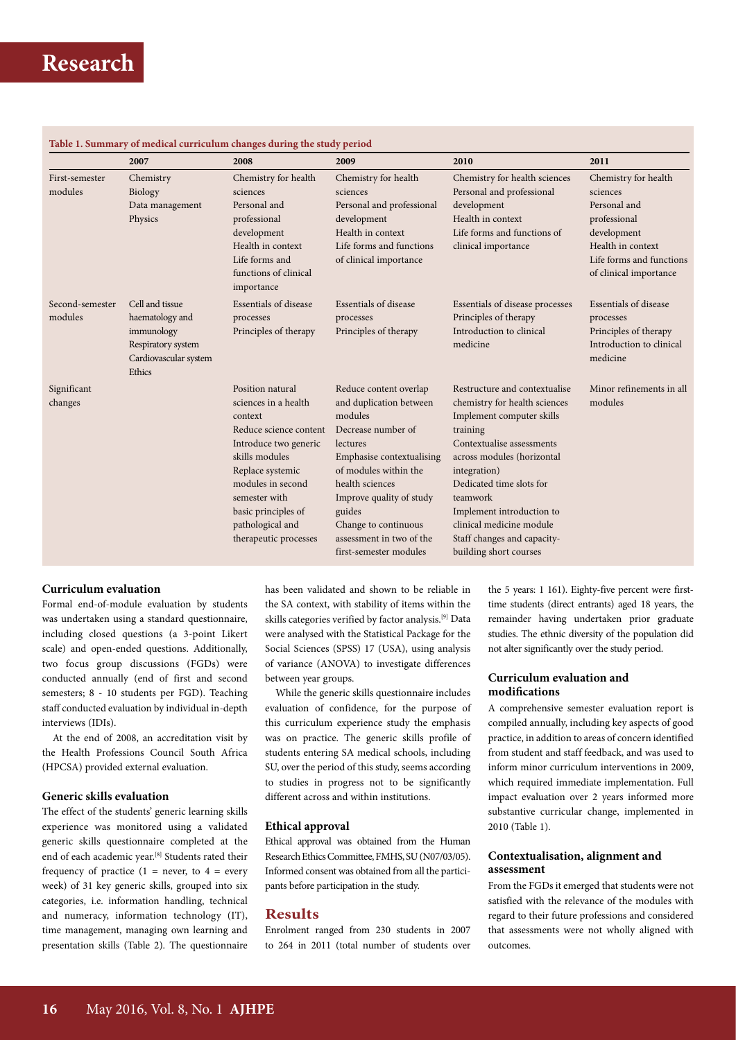## **Research**

|                            | 2007                                                                                                      | 2008                                                                                                                                                                                                                                                   | 2009                                                                                                                                                                                                                                                                                        | 2010                                                                                                                                                                                                                                                                                                                                         | 2011                                                                                                                                                       |
|----------------------------|-----------------------------------------------------------------------------------------------------------|--------------------------------------------------------------------------------------------------------------------------------------------------------------------------------------------------------------------------------------------------------|---------------------------------------------------------------------------------------------------------------------------------------------------------------------------------------------------------------------------------------------------------------------------------------------|----------------------------------------------------------------------------------------------------------------------------------------------------------------------------------------------------------------------------------------------------------------------------------------------------------------------------------------------|------------------------------------------------------------------------------------------------------------------------------------------------------------|
| First-semester<br>modules  | Chemistry<br>Biology<br>Data management<br>Physics                                                        | Chemistry for health<br>sciences<br>Personal and<br>professional<br>development<br>Health in context<br>Life forms and<br>functions of clinical<br>importance                                                                                          | Chemistry for health<br>sciences<br>Personal and professional<br>development<br>Health in context<br>Life forms and functions<br>of clinical importance                                                                                                                                     | Chemistry for health sciences<br>Personal and professional<br>development<br>Health in context<br>Life forms and functions of<br>clinical importance                                                                                                                                                                                         | Chemistry for health<br>sciences<br>Personal and<br>professional<br>development<br>Health in context<br>Life forms and functions<br>of clinical importance |
| Second-semester<br>modules | Cell and tissue<br>haematology and<br>immunology<br>Respiratory system<br>Cardiovascular system<br>Ethics | Essentials of disease<br>processes<br>Principles of therapy                                                                                                                                                                                            | Essentials of disease<br>processes<br>Principles of therapy                                                                                                                                                                                                                                 | Essentials of disease processes<br>Principles of therapy<br>Introduction to clinical<br>medicine                                                                                                                                                                                                                                             | <b>Essentials of disease</b><br>processes<br>Principles of therapy<br>Introduction to clinical<br>medicine                                                 |
| Significant<br>changes     |                                                                                                           | Position natural<br>sciences in a health<br>context<br>Reduce science content<br>Introduce two generic<br>skills modules<br>Replace systemic<br>modules in second<br>semester with<br>basic principles of<br>pathological and<br>therapeutic processes | Reduce content overlap<br>and duplication between<br>modules<br>Decrease number of<br>lectures<br>Emphasise contextualising<br>of modules within the<br>health sciences<br>Improve quality of study<br>guides<br>Change to continuous<br>assessment in two of the<br>first-semester modules | Restructure and contextualise<br>chemistry for health sciences<br>Implement computer skills<br>training<br>Contextualise assessments<br>across modules (horizontal<br>integration)<br>Dedicated time slots for<br>teamwork<br>Implement introduction to<br>clinical medicine module<br>Staff changes and capacity-<br>building short courses | Minor refinements in all<br>modules                                                                                                                        |

### **Table 1. Summary of medical curriculum changes during the study period**

## **Curriculum evaluation**

Formal end-of-module evaluation by students was undertaken using a standard questionnaire, including closed questions (a 3-point Likert scale) and open-ended questions. Additionally, two focus group discussions (FGDs) were conducted annually (end of first and second semesters; 8 - 10 students per FGD). Teaching staff conducted evaluation by individual in-depth interviews (IDIs).

At the end of 2008, an accreditation visit by the Health Professions Council South Africa (HPCSA) provided external evaluation.

#### **Generic skills evaluation**

The effect of the students' generic learning skills experience was monitored using a validated generic skills questionnaire completed at the end of each academic year.[8] Students rated their frequency of practice  $(1 =$  never, to  $4 =$  every week) of 31 key generic skills, grouped into six categories, i.e. information handling, technical and numeracy, information technology (IT), time management, managing own learning and presentation skills (Table 2). The questionnaire has been validated and shown to be reliable in the SA context, with stability of items within the skills categories verified by factor analysis.[9] Data were analysed with the Statistical Package for the Social Sciences (SPSS) 17 (USA), using analysis of variance (ANOVA) to investigate differences between year groups.

While the generic skills questionnaire includes evaluation of confidence, for the purpose of this curriculum experience study the emphasis was on practice. The generic skills profile of students entering SA medical schools, including SU, over the period of this study, seems according to studies in progress not to be significantly different across and within institutions.

## **Ethical approval**

Ethical approval was obtained from the Human Research Ethics Committee, FMHS, SU (N07/03/05). Informed consent was obtained from all the participants before participation in the study.

## **Results**

Enrolment ranged from 230 students in 2007 to 264 in 2011 (total number of students over the 5 years: 1 161). Eighty-five percent were firsttime students (direct entrants) aged 18 years, the remainder having undertaken prior graduate studies. The ethnic diversity of the population did not alter significantly over the study period.

## **Curriculum evaluation and modifications**

A comprehensive semester evaluation report is compiled annually, including key aspects of good practice, in addition to areas of concern identified from student and staff feedback, and was used to inform minor curriculum interventions in 2009, which required immediate implementation. Full impact evaluation over 2 years informed more substantive curricular change, implemented in 2010 (Table 1).

## **Contextualisation, alignment and assessment**

From the FGDs it emerged that students were not satisfied with the relevance of the modules with regard to their future professions and considered that assessments were not wholly aligned with outcomes.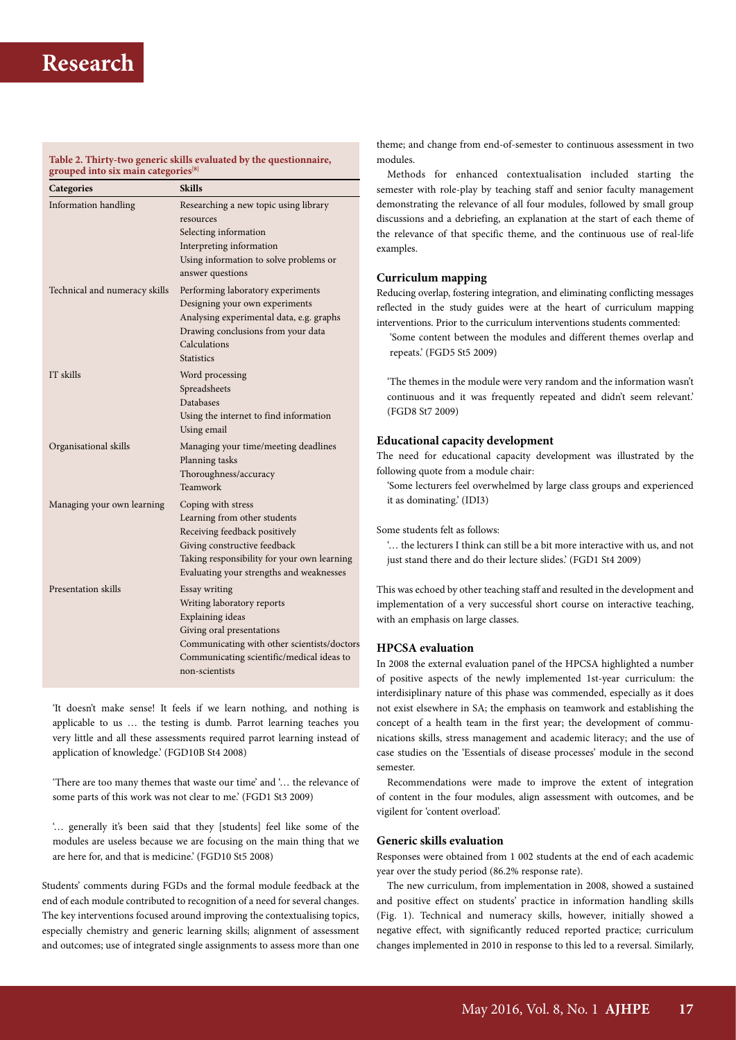#### **Table 2. Thirty-two generic skills evaluated by the questionnaire, grouped into six main categories[8]**

| Categories                    | <b>Skills</b>                                                                                                                                                                                                  |
|-------------------------------|----------------------------------------------------------------------------------------------------------------------------------------------------------------------------------------------------------------|
| Information handling          | Researching a new topic using library<br>resources<br>Selecting information<br>Interpreting information<br>Using information to solve problems or<br>answer questions                                          |
| Technical and numeracy skills | Performing laboratory experiments<br>Designing your own experiments<br>Analysing experimental data, e.g. graphs<br>Drawing conclusions from your data<br>Calculations<br><b>Statistics</b>                     |
| IT skills                     | Word processing<br>Spreadsheets<br>Databases<br>Using the internet to find information<br>Using email                                                                                                          |
| Organisational skills         | Managing your time/meeting deadlines<br>Planning tasks<br>Thoroughness/accuracy<br>Teamwork                                                                                                                    |
| Managing your own learning    | Coping with stress<br>Learning from other students<br>Receiving feedback positively<br>Giving constructive feedback<br>Taking responsibility for your own learning<br>Evaluating your strengths and weaknesses |
| Presentation skills           | Essay writing<br>Writing laboratory reports<br>Explaining ideas<br>Giving oral presentations<br>Communicating with other scientists/doctors<br>Communicating scientific/medical ideas to<br>non-scientists     |

'It doesn't make sense! It feels if we learn nothing, and nothing is applicable to us … the testing is dumb. Parrot learning teaches you very little and all these assessments required parrot learning instead of application of knowledge.' (FGD10B St4 2008)

'There are too many themes that waste our time' and '… the relevance of some parts of this work was not clear to me.' (FGD1 St3 2009)

'… generally it's been said that they [students] feel like some of the modules are useless because we are focusing on the main thing that we are here for, and that is medicine.' (FGD10 St5 2008)

Students' comments during FGDs and the formal module feedback at the end of each module contributed to recognition of a need for several changes. The key interventions focused around improving the contextualising topics, especially chemistry and generic learning skills; alignment of assessment and outcomes; use of integrated single assignments to assess more than one

theme; and change from end-of-semester to continuous assessment in two modules.

Methods for enhanced contextualisation included starting the semester with role-play by teaching staff and senior faculty management demonstrating the relevance of all four modules, followed by small group discussions and a debriefing, an explanation at the start of each theme of the relevance of that specific theme, and the continuous use of real-life examples.

## **Curriculum mapping**

Reducing overlap, fostering integration, and eliminating conflicting messages reflected in the study guides were at the heart of curriculum mapping interventions. Prior to the curriculum interventions students commented:

'Some content between the modules and different themes overlap and repeats.' (FGD5 St5 2009)

'The themes in the module were very random and the information wasn't continuous and it was frequently repeated and didn't seem relevant.' (FGD8 St7 2009)

#### **Educational capacity development**

The need for educational capacity development was illustrated by the following quote from a module chair:

'Some lecturers feel overwhelmed by large class groups and experienced it as dominating.' (IDI3)

Some students felt as follows:

'… the lecturers I think can still be a bit more interactive with us, and not just stand there and do their lecture slides.' (FGD1 St4 2009)

This was echoed by other teaching staff and resulted in the development and implementation of a very successful short course on interactive teaching, with an emphasis on large classes.

### **HPCSA evaluation**

In 2008 the external evaluation panel of the HPCSA highlighted a number of positive aspects of the newly implemented 1st-year curriculum: the interdisiplinary nature of this phase was commended, especially as it does not exist elsewhere in SA; the emphasis on teamwork and establishing the concept of a health team in the first year; the development of communications skills, stress management and academic literacy; and the use of case studies on the 'Essentials of disease processes' module in the second semester.

Recommendations were made to improve the extent of integration of content in the four modules, align assessment with outcomes, and be vigilent for 'content overload'.

#### **Generic skills evaluation**

Responses were obtained from 1 002 students at the end of each academic year over the study period (86.2% response rate).

The new curriculum, from implementation in 2008, showed a sustained and positive effect on students' practice in information handling skills (Fig. 1). Technical and numeracy skills, however, initially showed a negative effect, with significantly reduced reported practice; curriculum changes implemented in 2010 in response to this led to a reversal. Similarly,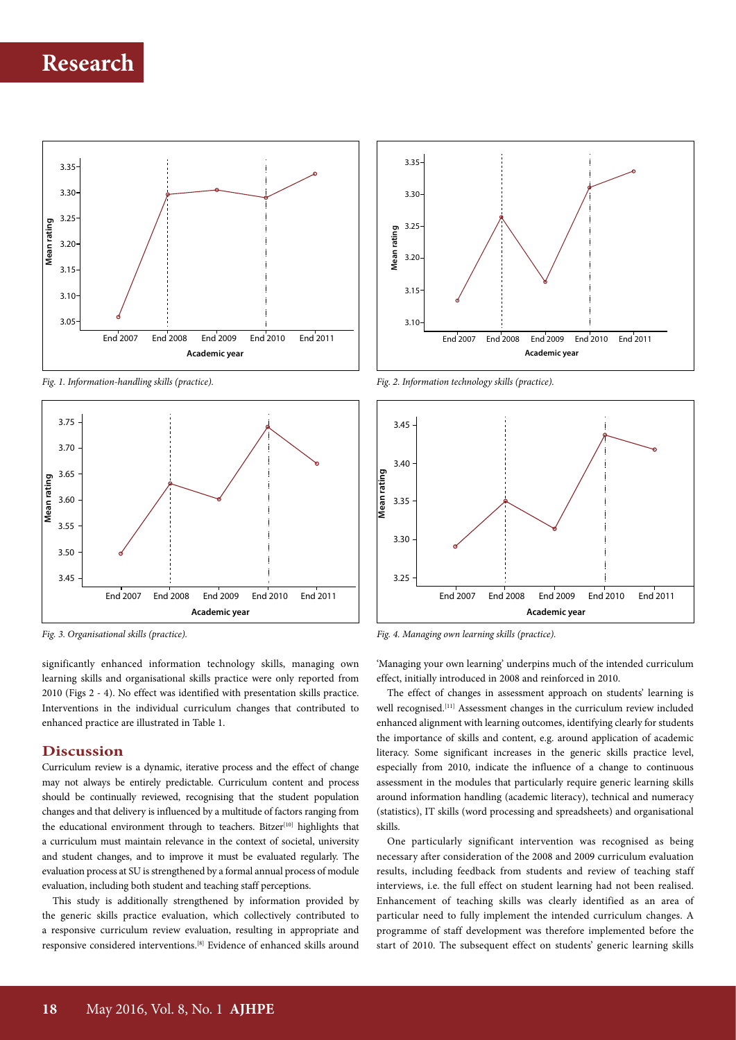

*Fig. 1. Information-handling skills (practice).*



*Fig. 3. Organisational skills (practice).*

significantly enhanced information technology skills, managing own learning skills and organisational skills practice were only reported from 2010 (Figs 2 - 4). No effect was identified with presentation skills practice. Interventions in the individual curriculum changes that contributed to enhanced practice are illustrated in Table 1.

#### **Discussion**

Curriculum review is a dynamic, iterative process and the effect of change may not always be entirely predictable. Curriculum content and process should be continually reviewed, recognising that the student population changes and that delivery is influenced by a multitude of factors ranging from the educational environment through to teachers. Bitzer<sup>[10]</sup> highlights that a curriculum must maintain relevance in the context of societal, university and student changes, and to improve it must be evaluated regularly. The evaluation process at SU is strengthened by a formal annual process of module evaluation, including both student and teaching staff perceptions.

This study is additionally strengthened by information provided by the generic skills practice evaluation, which collectively contributed to a responsive curriculum review evaluation, resulting in appropriate and responsive considered interventions.[8] Evidence of enhanced skills around



*Fig. 2. Information technology skills (practice).*



*Fig. 4. Managing own learning skills (practice).*

'Managing your own learning' underpins much of the intended curriculum effect, initially introduced in 2008 and reinforced in 2010.

The effect of changes in assessment approach on students' learning is well recognised.<sup>[11]</sup> Assessment changes in the curriculum review included enhanced alignment with learning outcomes, identifying clearly for students the importance of skills and content, e.g. around application of academic literacy. Some significant increases in the generic skills practice level, especially from 2010, indicate the influence of a change to continuous assessment in the modules that particularly require generic learning skills around information handling (academic literacy), technical and numeracy (statistics), IT skills (word processing and spreadsheets) and organisational skills.

One particularly significant intervention was recognised as being necessary after consideration of the 2008 and 2009 curriculum evaluation results, including feedback from students and review of teaching staff interviews, i.e. the full effect on student learning had not been realised. Enhancement of teaching skills was clearly identified as an area of particular need to fully implement the intended curriculum changes. A programme of staff development was therefore implemented before the start of 2010. The subsequent effect on students' generic learning skills